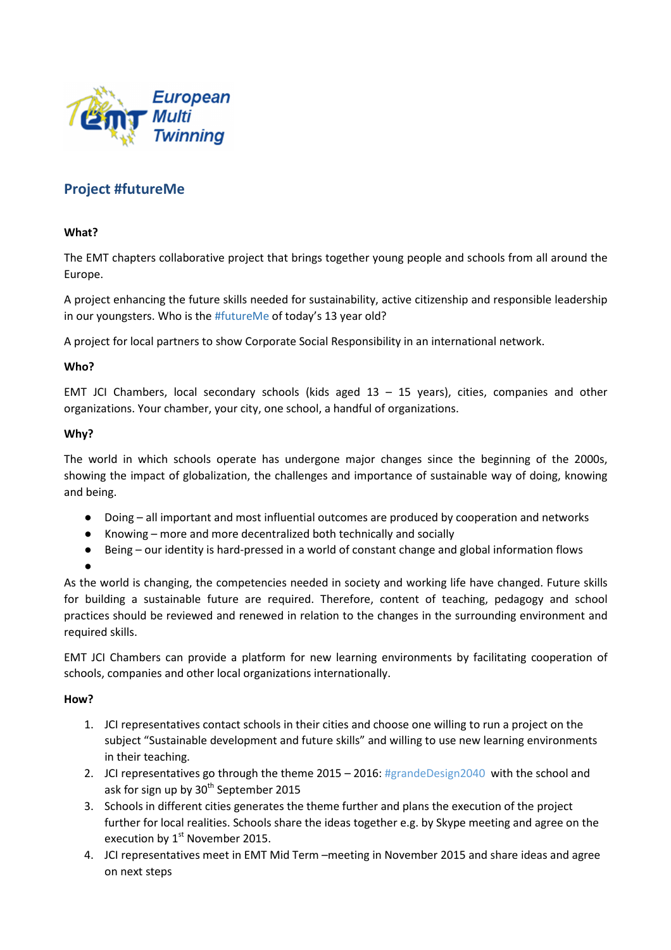

# **Project #futureMe**

## **What?**

The EMT chapters collaborative project that brings together young people and schools from all around the Europe.

A project enhancing the future skills needed for sustainability, active citizenship and responsible leadership in our youngsters. Who is the #futureMe of today's 13 year old?

A project for local partners to show Corporate Social Responsibility in an international network.

### **Who?**

EMT JCI Chambers, local secondary schools (kids aged 13 – 15 years), cities, companies and other organizations. Your chamber, your city, one school, a handful of organizations.

### **Why?**

The world in which schools operate has undergone major changes since the beginning of the 2000s, showing the impact of globalization, the challenges and importance of sustainable way of doing, knowing and being.

- Doing all important and most influential outcomes are produced by cooperation and networks
- Knowing more and more decentralized both technically and socially
- Being our identity is hard-pressed in a world of constant change and global information flows
- ●

As the world is changing, the competencies needed in society and working life have changed. Future skills for building a sustainable future are required. Therefore, content of teaching, pedagogy and school practices should be reviewed and renewed in relation to the changes in the surrounding environment and required skills.

EMT JCI Chambers can provide a platform for new learning environments by facilitating cooperation of schools, companies and other local organizations internationally.

### **How?**

- 1. JCI representatives contact schools in their cities and choose one willing to run a project on the subject "Sustainable development and future skills" and willing to use new learning environments in their teaching.
- 2. JCI representatives go through the theme 2015 2016: #grandeDesign2040 with the school and ask for sign up by  $30<sup>th</sup>$  September 2015
- 3. Schools in different cities generates the theme further and plans the execution of the project further for local realities. Schools share the ideas together e.g. by Skype meeting and agree on the execution by  $1<sup>st</sup>$  November 2015.
- 4. JCI representatives meet in EMT Mid Term –meeting in November 2015 and share ideas and agree on next steps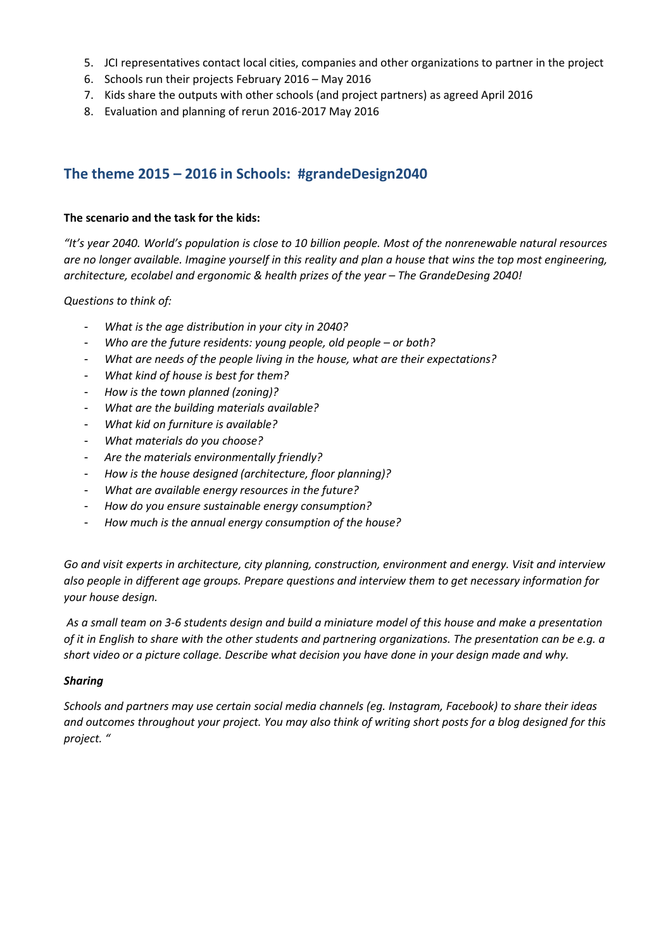- 5. JCI representatives contact local cities, companies and other organizations to partner in the project
- 6. Schools run their projects February 2016 May 2016
- 7. Kids share the outputs with other schools (and project partners) as agreed April 2016
- 8. Evaluation and planning of rerun 2016-2017 May 2016

# **The theme 2015 – 2016 in Schools: #grandeDesign2040**

### **The scenario and the task for the kids:**

*"It's year 2040. World's population is close to 10 billion people. Most of the nonrenewable natural resources are no longer available. Imagine yourself in this reality and plan a house that wins the top most engineering, architecture, ecolabel and ergonomic & health prizes of the year – The GrandeDesing 2040!* 

*Questions to think of:* 

- *What is the age distribution in your city in 2040?*
- *Who are the future residents: young people, old people or both?*
- *What are needs of the people living in the house, what are their expectations?*
- *What kind of house is best for them?*
- *How is the town planned (zoning)?*
- *What are the building materials available?*
- *What kid on furniture is available?*
- *What materials do you choose?*
- *Are the materials environmentally friendly?*
- *How is the house designed (architecture, floor planning)?*
- *What are available energy resources in the future?*
- *How do you ensure sustainable energy consumption?*
- *How much is the annual energy consumption of the house?*

*Go and visit experts in architecture, city planning, construction, environment and energy. Visit and interview also people in different age groups. Prepare questions and interview them to get necessary information for your house design.* 

 *As a small team on 3-6 students design and build a miniature model of this house and make a presentation of it in English to share with the other students and partnering organizations. The presentation can be e.g. a short video or a picture collage. Describe what decision you have done in your design made and why.* 

### *Sharing*

*Schools and partners may use certain social media channels (eg. Instagram, Facebook) to share their ideas and outcomes throughout your project. You may also think of writing short posts for a blog designed for this project. "*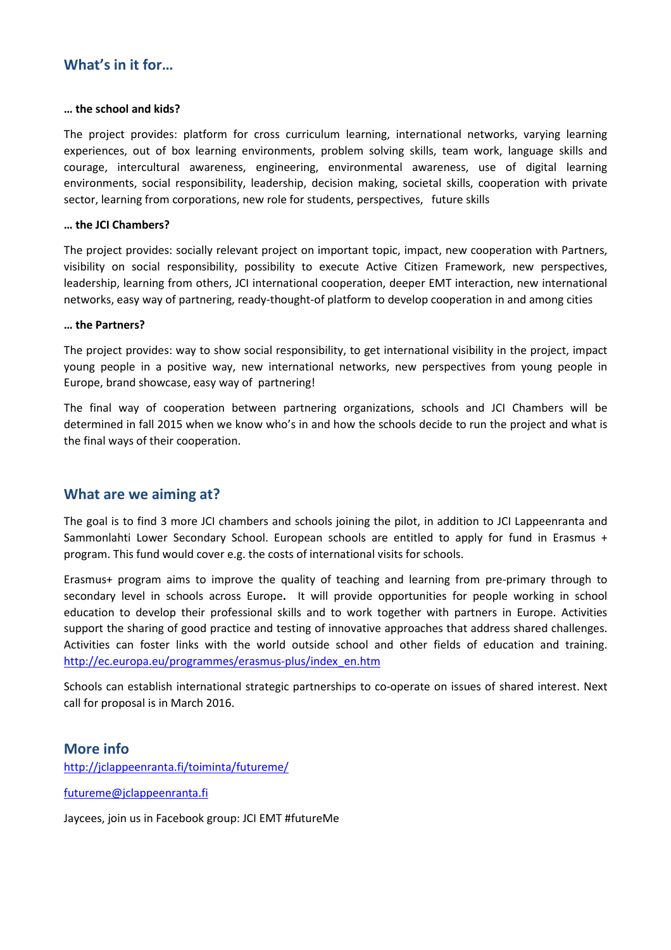# **What's in it for…**

#### **… the school and kids?**

The project provides: platform for cross curriculum learning, international networks, varying learning experiences, out of box learning environments, problem solving skills, team work, language skills and courage, intercultural awareness, engineering, environmental awareness, use of digital learning environments, social responsibility, leadership, decision making, societal skills, cooperation with private sector, learning from corporations, new role for students, perspectives, future skills

### **… the JCI Chambers?**

The project provides: socially relevant project on important topic, impact, new cooperation with Partners, visibility on social responsibility, possibility to execute Active Citizen Framework, new perspectives, leadership, learning from others, JCI international cooperation, deeper EMT interaction, new international networks, easy way of partnering, ready-thought-of platform to develop cooperation in and among cities

#### **… the Partners?**

The project provides: way to show social responsibility, to get international visibility in the project, impact young people in a positive way, new international networks, new perspectives from young people in Europe, brand showcase, easy way of partnering!

The final way of cooperation between partnering organizations, schools and JCI Chambers will be determined in fall 2015 when we know who's in and how the schools decide to run the project and what is the final ways of their cooperation.

# **What are we aiming at?**

The goal is to find 3 more JCI chambers and schools joining the pilot, in addition to JCI Lappeenranta and Sammonlahti Lower Secondary School. European schools are entitled to apply for fund in Erasmus + program. This fund would cover e.g. the costs of international visits for schools.

Erasmus+ program aims to improve the quality of teaching and learning from pre-primary through to secondary level in schools across Europe**.** It will provide opportunities for people working in school education to develop their professional skills and to work together with partners in Europe. Activities support the sharing of good practice and testing of innovative approaches that address shared challenges. Activities can foster links with the world outside school and other fields of education and training. http://ec.europa.eu/programmes/erasmus-plus/index\_en.htm

Schools can establish international strategic partnerships to co-operate on issues of shared interest. Next call for proposal is in March 2016.

# **More info**

http://jclappeenranta.fi/toiminta/futureme/

futureme@jclappeenranta.fi

Jaycees, join us in Facebook group: JCI EMT #futureMe